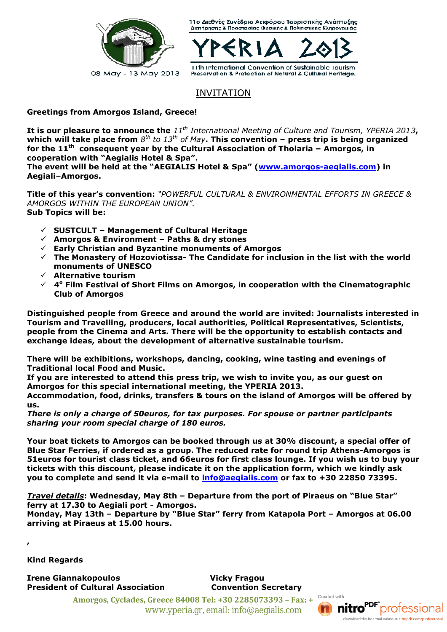

11ο Διεθνές Συνέδριο Αειφόρου Τουριστικής Ανάπτυξης Διατήρησης & Προστασίας Φυσικής & Πολιτιστικής Κληρονομιάς.



INVITATION

**Greetings from Amorgos Island, Greece!**

It is our pleasure to announce the 11<sup>th</sup> International Meeting of Culture and Tourism, YPERIA 2013, **which will take place from** *8 th to 13th of May***. This convention – press trip is being organized for the 11th consequent year by the Cultural Association of Tholaria – Amorgos, in cooperation with "Aegialis Hotel & Spa".**

**The event will be held at the "AEGIALIS Hotel & Spa" (www.amorgos-aegialis.com) in Aegiali–Amorgos.**

**Title of this year's convention:** *"POWERFUL CULTURAL & ENVIRONMENTAL EFFORTS IN GREECE & AMORGOS WITHIN THE EUROPEAN UNION".* **Sub Topics will be:**

- **SUSTCULT – Management of Cultural Heritage**
- **Amorgos & Environment – Paths & dry stones**
- **Early Christian and Byzantine monuments of Amorgos**
- **The Monastery of Hozoviotissa- The Candidate for inclusion in the list with the world monuments of UNESCO**
- **Alternative tourism**
- **4 <sup>ο</sup> Film Festival of Short Films on Amorgos, in cooperation with the Cinematographic Club of Amorgos**

**Distinguished people from Greece and around the world are invited: Journalists interested in Tourism and Travelling, producers, local authorities, Political Representatives, Scientists, people from the Cinema and Arts. There will be the opportunity to establish contacts and exchange ideas, about the development of alternative sustainable tourism.**

**There will be exhibitions, workshops, dancing, cooking, wine tasting and evenings of Traditional local Food and Music.**

**If you are interested to attend this press trip, we wish to invite you, as our guest on Amorgos for this special international meeting, the YPERIA 2013.**

**Accommodation, food, drinks, transfers & tours on the island of Amorgos will be offered by us.**

*There is only a charge of 50euros, for tax purposes. For spouse or partner participants sharing your room special charge of 180 euros.*

**Your boat tickets to Amorgos can be booked through us at 30% discount, a special offer of Blue Star Ferries, if ordered as a group. The reduced rate for round trip Athens-Amorgos is 51euros for tourist class ticket, and 66euros for first class lounge. If you wish us to buy your tickets with this discount, please indicate it on the application form, which we kindly ask you to complete and send it via e-mail to info@aegialis.com or fax to +30 22850 73395.**

*Travel details***: Wednesday, May 8th – Departure from the port of Piraeus on "Blue Star" ferry at 17.30 to Aegiali port - Amorgos.**

**Monday, May 13th – Departure by "Blue Star" ferry from Katapola Port – Amorgos at 06.00 arriving at Piraeus at 15.00 hours.**

**,**

**Kind Regards**

**Irene Giannakopoulos Vicky Fragou President of Cultural Association Convention Secretary**

**Amorgos, Cyclades, Greece 84008 Tel: +30 2285073393 – Fax: +30 2285073395** www.yperia.gr, email: info@aegialis.com